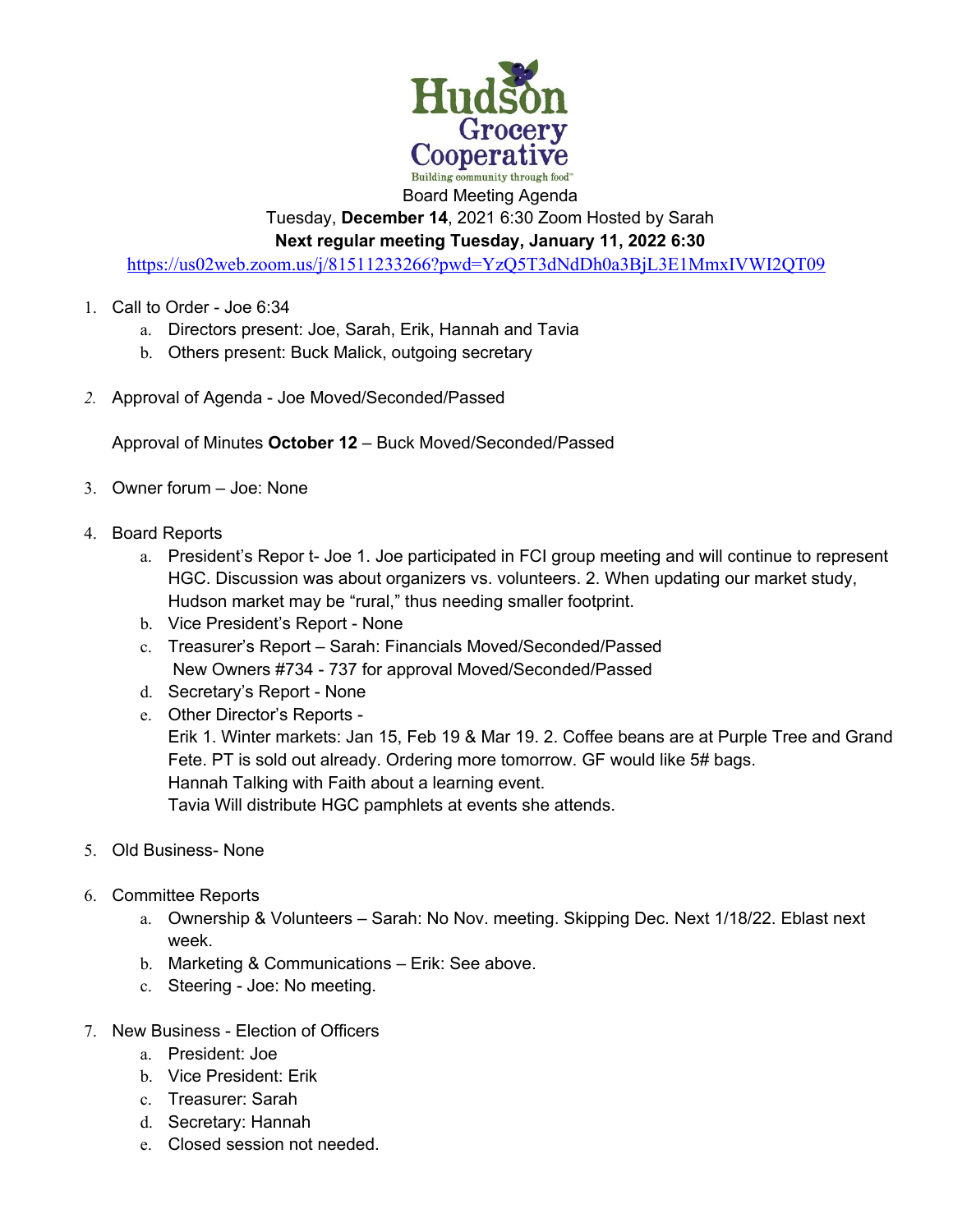

Tuesday, **December 14**, 2021 6:30 Zoom Hosted by Sarah **Next regular meeting Tuesday, January 11, 2022 6:30** 

https://us02web.zoom.us/j/81511233266?pwd=YzQ5T3dNdDh0a3BjL3E1MmxIVWI2QT09

- 1. Call to Order Joe 6:34
	- a. Directors present: Joe, Sarah, Erik, Hannah and Tavia
	- b. Others present: Buck Malick, outgoing secretary
- *2.* Approval of Agenda Joe Moved/Seconded/Passed

Approval of Minutes **October 12** – Buck Moved/Seconded/Passed

- 3. Owner forum Joe: None
- 4. Board Reports
	- a. President's Repor t- Joe 1. Joe participated in FCI group meeting and will continue to represent HGC. Discussion was about organizers vs. volunteers. 2. When updating our market study, Hudson market may be "rural," thus needing smaller footprint.
	- b. Vice President's Report None
	- c. Treasurer's Report Sarah: Financials Moved/Seconded/Passed New Owners #734 - 737 for approval Moved/Seconded/Passed
	- d. Secretary's Report None
	- e. Other Director's Reports -

Erik 1. Winter markets: Jan 15, Feb 19 & Mar 19. 2. Coffee beans are at Purple Tree and Grand Fete. PT is sold out already. Ordering more tomorrow. GF would like 5# bags. Hannah Talking with Faith about a learning event. Tavia Will distribute HGC pamphlets at events she attends.

- 5. Old Business- None
- 6. Committee Reports
	- a. Ownership & Volunteers Sarah: No Nov. meeting. Skipping Dec. Next 1/18/22. Eblast next week.
	- b. Marketing & Communications Erik: See above.
	- c. Steering Joe: No meeting.
- 7. New Business Election of Officers
	- a. President: Joe
	- b. Vice President: Erik
	- c. Treasurer: Sarah
	- d. Secretary: Hannah
	- e. Closed session not needed.